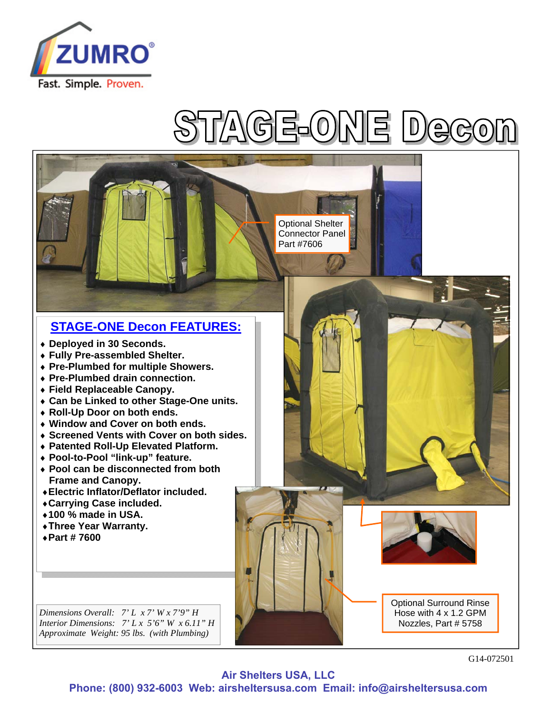

## $\mathbf{P}$

Optional Shelter Connector Panel Part #7606

## **STAGE-ONE Decon FEATURES:**

- **Deployed in 30 Seconds.**
- **Fully Pre-assembled Shelter.**
- **Pre-Plumbed for multiple Showers.**
- **Pre-Plumbed drain connection.**
- **Field Replaceable Canopy.**
- **Can be Linked to other Stage-One units.**
- **Roll-Up Door on both ends.**
- **Window and Cover on both ends.**
- **Screened Vents with Cover on both sides.**
- **Patented Roll-Up Elevated Platform.**
- **Pool-to-Pool "link-up" feature.**
- **Pool can be disconnected from both Frame and Canopy.**
- ♦**Electric Inflator/Deflator included.**
- ♦**Carrying Case included.**
- ♦**100 % made in USA.**
- ♦**Three Year Warranty.**
- ♦**Part # 7600**

*Dimensions Overall: 7' L x 7' W x 7'9" H Interior Dimensions: 7' L x 5'6" W x 6.11" H Approximate Weight: 95 lbs. (with Plumbing)* 

Optional Surround Rinse Hose with 4 x 1.2 GPM Nozzles, Part # 5758

G14-072501

**Air Shelters USA, LLC**

**Phone: (800) 932-6003 Web: airsheltersusa.com Email: info@airsheltersusa.com**